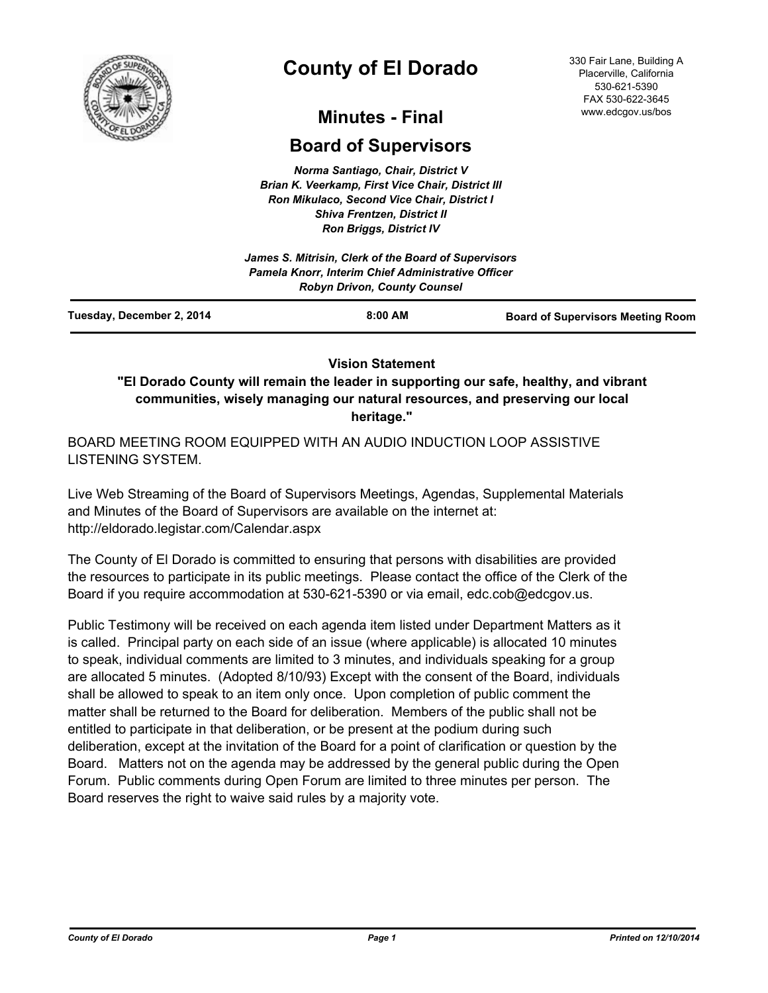

# **County of El Dorado**

#### 330 Fair Lane, Building A Placerville, California 530-621-5390 FAX 530-622-3645 www.edcgov.us/bos

## **Minutes - Final**

## **Board of Supervisors**

*Norma Santiago, Chair, District V Brian K. Veerkamp, First Vice Chair, District III Ron Mikulaco, Second Vice Chair, District I Shiva Frentzen, District II Ron Briggs, District IV*

|                           | James S. Mitrisin, Clerk of the Board of Supervisors                                      |                                          |
|---------------------------|-------------------------------------------------------------------------------------------|------------------------------------------|
|                           | Pamela Knorr, Interim Chief Administrative Officer<br><b>Robyn Drivon, County Counsel</b> |                                          |
| Tuesday, December 2, 2014 | $8:00$ AM                                                                                 | <b>Board of Supervisors Meeting Room</b> |

## **Vision Statement**

**"El Dorado County will remain the leader in supporting our safe, healthy, and vibrant communities, wisely managing our natural resources, and preserving our local heritage."**

BOARD MEETING ROOM EQUIPPED WITH AN AUDIO INDUCTION LOOP ASSISTIVE LISTENING SYSTEM.

Live Web Streaming of the Board of Supervisors Meetings, Agendas, Supplemental Materials and Minutes of the Board of Supervisors are available on the internet at: http://eldorado.legistar.com/Calendar.aspx

The County of El Dorado is committed to ensuring that persons with disabilities are provided the resources to participate in its public meetings. Please contact the office of the Clerk of the Board if you require accommodation at 530-621-5390 or via email, edc.cob@edcgov.us.

Public Testimony will be received on each agenda item listed under Department Matters as it is called. Principal party on each side of an issue (where applicable) is allocated 10 minutes to speak, individual comments are limited to 3 minutes, and individuals speaking for a group are allocated 5 minutes. (Adopted 8/10/93) Except with the consent of the Board, individuals shall be allowed to speak to an item only once. Upon completion of public comment the matter shall be returned to the Board for deliberation. Members of the public shall not be entitled to participate in that deliberation, or be present at the podium during such deliberation, except at the invitation of the Board for a point of clarification or question by the Board. Matters not on the agenda may be addressed by the general public during the Open Forum. Public comments during Open Forum are limited to three minutes per person. The Board reserves the right to waive said rules by a majority vote.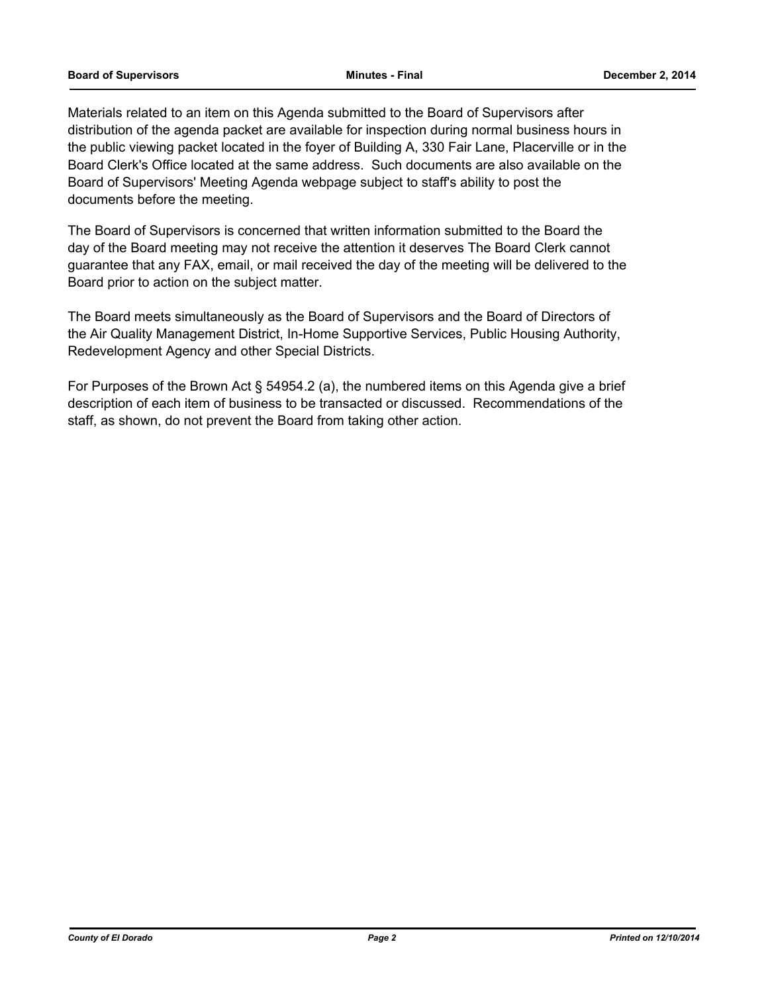#### **Board of Supervisors Minutes - Final December 2, 2014**

Materials related to an item on this Agenda submitted to the Board of Supervisors after distribution of the agenda packet are available for inspection during normal business hours in the public viewing packet located in the foyer of Building A, 330 Fair Lane, Placerville or in the Board Clerk's Office located at the same address. Such documents are also available on the Board of Supervisors' Meeting Agenda webpage subject to staff's ability to post the documents before the meeting.

The Board of Supervisors is concerned that written information submitted to the Board the day of the Board meeting may not receive the attention it deserves The Board Clerk cannot guarantee that any FAX, email, or mail received the day of the meeting will be delivered to the Board prior to action on the subject matter.

The Board meets simultaneously as the Board of Supervisors and the Board of Directors of the Air Quality Management District, In-Home Supportive Services, Public Housing Authority, Redevelopment Agency and other Special Districts.

For Purposes of the Brown Act § 54954.2 (a), the numbered items on this Agenda give a brief description of each item of business to be transacted or discussed. Recommendations of the staff, as shown, do not prevent the Board from taking other action.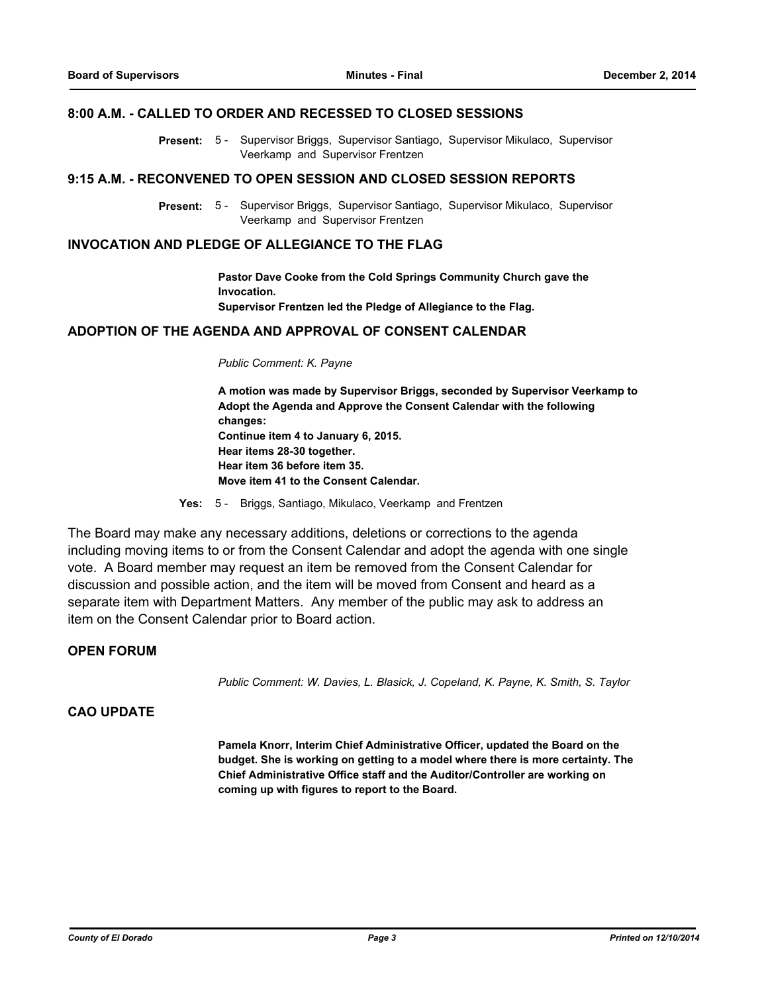#### **8:00 A.M. - CALLED TO ORDER AND RECESSED TO CLOSED SESSIONS**

Present: 5 - Supervisor Briggs, Supervisor Santiago, Supervisor Mikulaco, Supervisor Veerkamp and Supervisor Frentzen

#### **9:15 A.M. - RECONVENED TO OPEN SESSION AND CLOSED SESSION REPORTS**

Present: 5 - Supervisor Briggs, Supervisor Santiago, Supervisor Mikulaco, Supervisor Veerkamp and Supervisor Frentzen

#### **INVOCATION AND PLEDGE OF ALLEGIANCE TO THE FLAG**

**Pastor Dave Cooke from the Cold Springs Community Church gave the Invocation. Supervisor Frentzen led the Pledge of Allegiance to the Flag.**

#### **ADOPTION OF THE AGENDA AND APPROVAL OF CONSENT CALENDAR**

#### *Public Comment: K. Payne*

**A motion was made by Supervisor Briggs, seconded by Supervisor Veerkamp to Adopt the Agenda and Approve the Consent Calendar with the following changes: Continue item 4 to January 6, 2015. Hear items 28-30 together. Hear item 36 before item 35. Move item 41 to the Consent Calendar.**

**Yes:** 5 - Briggs, Santiago, Mikulaco, Veerkamp and Frentzen

The Board may make any necessary additions, deletions or corrections to the agenda including moving items to or from the Consent Calendar and adopt the agenda with one single vote. A Board member may request an item be removed from the Consent Calendar for discussion and possible action, and the item will be moved from Consent and heard as a separate item with Department Matters. Any member of the public may ask to address an item on the Consent Calendar prior to Board action.

### **OPEN FORUM**

*Public Comment: W. Davies, L. Blasick, J. Copeland, K. Payne, K. Smith, S. Taylor*

### **CAO UPDATE**

**Pamela Knorr, Interim Chief Administrative Officer, updated the Board on the budget. She is working on getting to a model where there is more certainty. The Chief Administrative Office staff and the Auditor/Controller are working on coming up with figures to report to the Board.**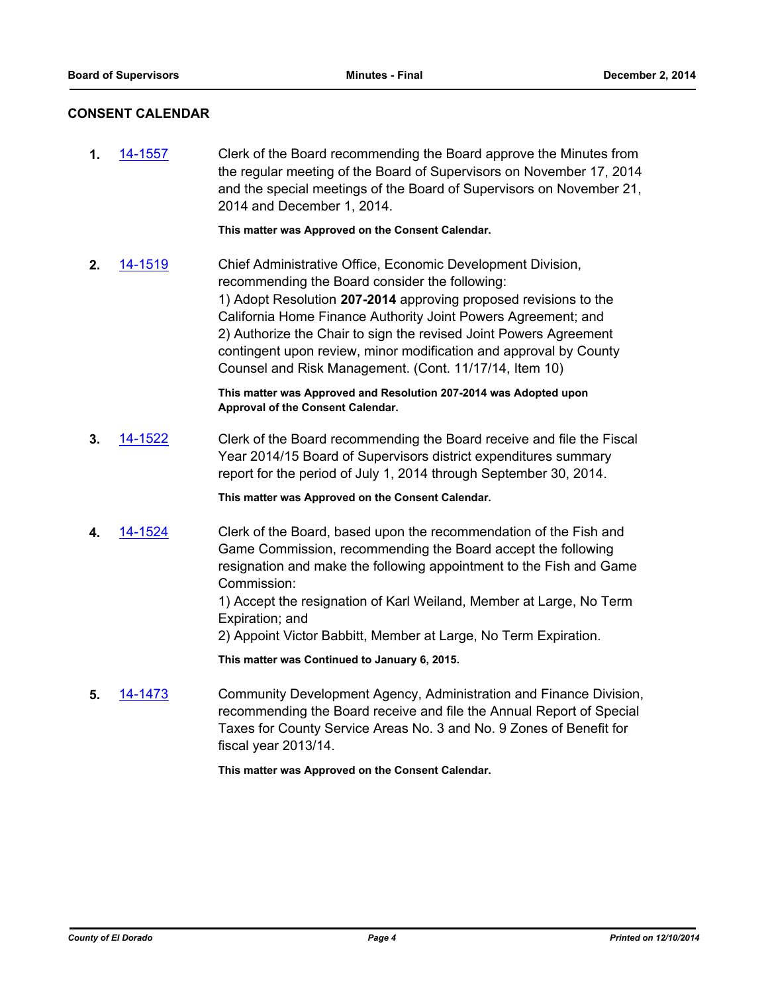### **CONSENT CALENDAR**

**1.** [14-1557](http://eldorado.legistar.com/gateway.aspx?m=l&id=/matter.aspx?key=19044) Clerk of the Board recommending the Board approve the Minutes from the regular meeting of the Board of Supervisors on November 17, 2014 and the special meetings of the Board of Supervisors on November 21, 2014 and December 1, 2014. **This matter was Approved on the Consent Calendar. 2.** [14-1519](http://eldorado.legistar.com/gateway.aspx?m=l&id=/matter.aspx?key=19006) Chief Administrative Office, Economic Development Division, recommending the Board consider the following: 1) Adopt Resolution **207-2014** approving proposed revisions to the California Home Finance Authority Joint Powers Agreement; and 2) Authorize the Chair to sign the revised Joint Powers Agreement contingent upon review, minor modification and approval by County Counsel and Risk Management. (Cont. 11/17/14, Item 10) **This matter was Approved and Resolution 207-2014 was Adopted upon Approval of the Consent Calendar. 3.** [14-1522](http://eldorado.legistar.com/gateway.aspx?m=l&id=/matter.aspx?key=19009) Clerk of the Board recommending the Board receive and file the Fiscal Year 2014/15 Board of Supervisors district expenditures summary report for the period of July 1, 2014 through September 30, 2014. **This matter was Approved on the Consent Calendar. 4.** [14-1524](http://eldorado.legistar.com/gateway.aspx?m=l&id=/matter.aspx?key=19011) Clerk of the Board, based upon the recommendation of the Fish and Game Commission, recommending the Board accept the following resignation and make the following appointment to the Fish and Game Commission: 1) Accept the resignation of Karl Weiland, Member at Large, No Term Expiration; and 2) Appoint Victor Babbitt, Member at Large, No Term Expiration. **This matter was Continued to January 6, 2015. 5.** [14-1473](http://eldorado.legistar.com/gateway.aspx?m=l&id=/matter.aspx?key=18957) Community Development Agency, Administration and Finance Division, recommending the Board receive and file the Annual Report of Special Taxes for County Service Areas No. 3 and No. 9 Zones of Benefit for fiscal year 2013/14.

**This matter was Approved on the Consent Calendar.**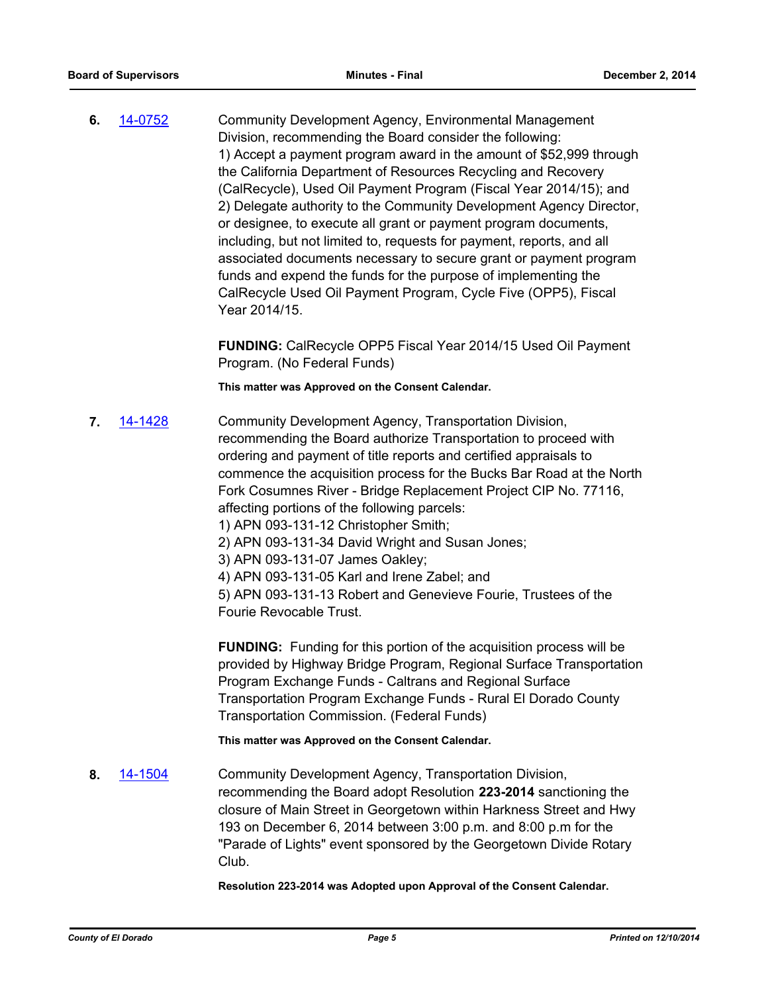**6.** [14-0752](http://eldorado.legistar.com/gateway.aspx?m=l&id=/matter.aspx?key=18235) Community Development Agency, Environmental Management Division, recommending the Board consider the following: 1) Accept a payment program award in the amount of \$52,999 through the California Department of Resources Recycling and Recovery (CalRecycle), Used Oil Payment Program (Fiscal Year 2014/15); and 2) Delegate authority to the Community Development Agency Director, or designee, to execute all grant or payment program documents, including, but not limited to, requests for payment, reports, and all associated documents necessary to secure grant or payment program funds and expend the funds for the purpose of implementing the CalRecycle Used Oil Payment Program, Cycle Five (OPP5), Fiscal Year 2014/15.

> **FUNDING:** CalRecycle OPP5 Fiscal Year 2014/15 Used Oil Payment Program. (No Federal Funds)

**This matter was Approved on the Consent Calendar.**

**7.** [14-1428](http://eldorado.legistar.com/gateway.aspx?m=l&id=/matter.aspx?key=18912) Community Development Agency, Transportation Division, recommending the Board authorize Transportation to proceed with ordering and payment of title reports and certified appraisals to commence the acquisition process for the Bucks Bar Road at the North Fork Cosumnes River - Bridge Replacement Project CIP No. 77116, affecting portions of the following parcels:

1) APN 093-131-12 Christopher Smith;

2) APN 093-131-34 David Wright and Susan Jones;

3) APN 093-131-07 James Oakley;

4) APN 093-131-05 Karl and Irene Zabel; and

5) APN 093-131-13 Robert and Genevieve Fourie, Trustees of the Fourie Revocable Trust.

**FUNDING:** Funding for this portion of the acquisition process will be provided by Highway Bridge Program, Regional Surface Transportation Program Exchange Funds - Caltrans and Regional Surface Transportation Program Exchange Funds - Rural El Dorado County Transportation Commission. (Federal Funds)

**This matter was Approved on the Consent Calendar.**

**8.** [14-1504](http://eldorado.legistar.com/gateway.aspx?m=l&id=/matter.aspx?key=18988) Community Development Agency, Transportation Division, recommending the Board adopt Resolution **223-2014** sanctioning the closure of Main Street in Georgetown within Harkness Street and Hwy 193 on December 6, 2014 between 3:00 p.m. and 8:00 p.m for the "Parade of Lights" event sponsored by the Georgetown Divide Rotary Club.

**Resolution 223-2014 was Adopted upon Approval of the Consent Calendar.**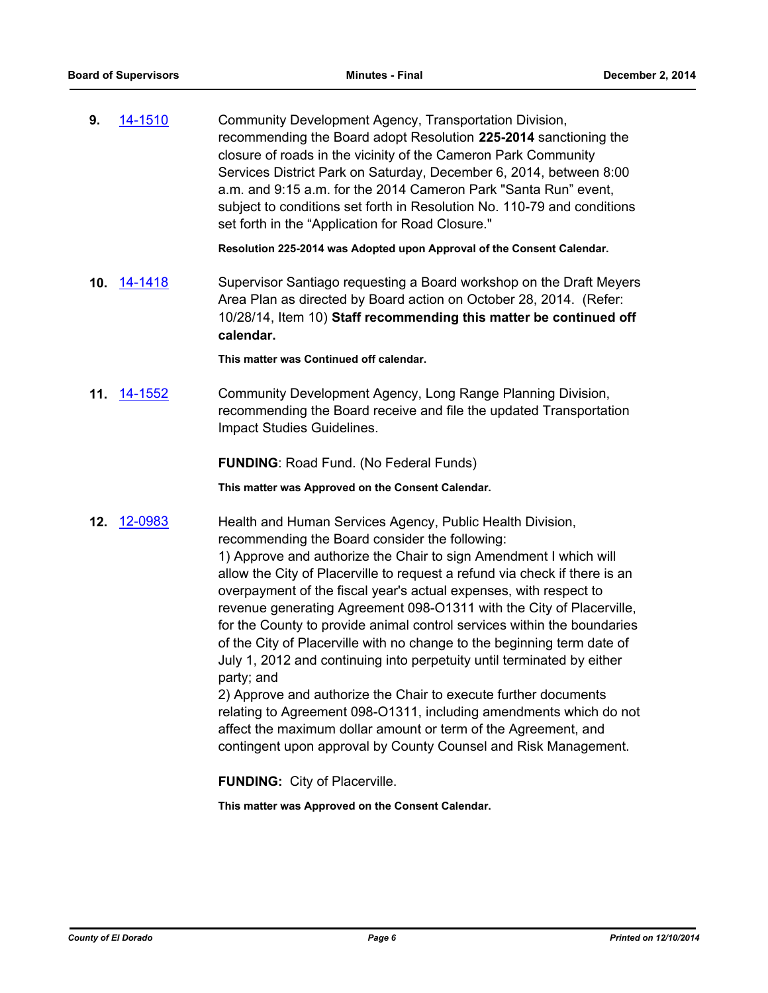**9.** [14-1510](http://eldorado.legistar.com/gateway.aspx?m=l&id=/matter.aspx?key=18995) Community Development Agency, Transportation Division, recommending the Board adopt Resolution **225-2014** sanctioning the closure of roads in the vicinity of the Cameron Park Community Services District Park on Saturday, December 6, 2014, between 8:00 a.m. and 9:15 a.m. for the 2014 Cameron Park "Santa Run" event, subject to conditions set forth in Resolution No. 110-79 and conditions set forth in the "Application for Road Closure."

**Resolution 225-2014 was Adopted upon Approval of the Consent Calendar.**

**10.** [14-1418](http://eldorado.legistar.com/gateway.aspx?m=l&id=/matter.aspx?key=18902) Supervisor Santiago requesting a Board workshop on the Draft Meyers Area Plan as directed by Board action on October 28, 2014. (Refer: 10/28/14, Item 10) **Staff recommending this matter be continued off calendar.**

**This matter was Continued off calendar.**

**11.** [14-1552](http://eldorado.legistar.com/gateway.aspx?m=l&id=/matter.aspx?key=19039) Community Development Agency, Long Range Planning Division, recommending the Board receive and file the updated Transportation Impact Studies Guidelines.

**FUNDING**: Road Fund. (No Federal Funds)

**This matter was Approved on the Consent Calendar.**

**12.** [12-0983](http://eldorado.legistar.com/gateway.aspx?m=l&id=/matter.aspx?key=15282) Health and Human Services Agency, Public Health Division, recommending the Board consider the following:

1) Approve and authorize the Chair to sign Amendment I which will allow the City of Placerville to request a refund via check if there is an overpayment of the fiscal year's actual expenses, with respect to revenue generating Agreement 098-O1311 with the City of Placerville, for the County to provide animal control services within the boundaries of the City of Placerville with no change to the beginning term date of July 1, 2012 and continuing into perpetuity until terminated by either party; and

2) Approve and authorize the Chair to execute further documents relating to Agreement 098-O1311, including amendments which do not affect the maximum dollar amount or term of the Agreement, and contingent upon approval by County Counsel and Risk Management.

**FUNDING:** City of Placerville.

**This matter was Approved on the Consent Calendar.**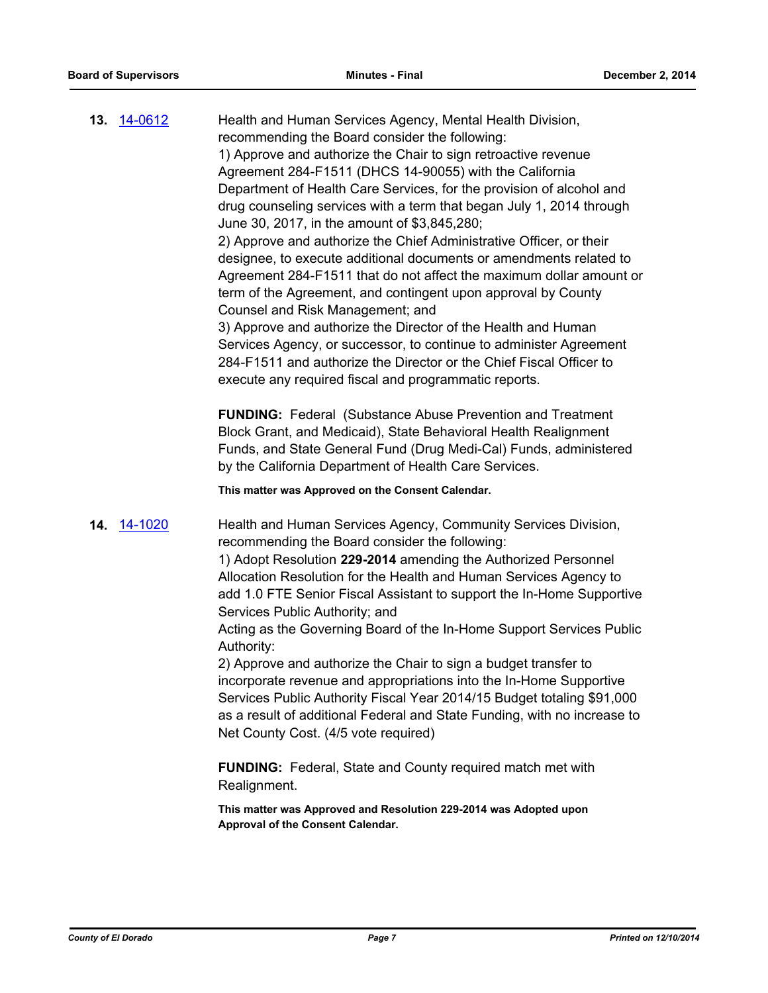**13.** [14-0612](http://eldorado.legistar.com/gateway.aspx?m=l&id=/matter.aspx?key=18094) Health and Human Services Agency, Mental Health Division, recommending the Board consider the following: 1) Approve and authorize the Chair to sign retroactive revenue Agreement 284-F1511 (DHCS 14-90055) with the California Department of Health Care Services, for the provision of alcohol and drug counseling services with a term that began July 1, 2014 through June 30, 2017, in the amount of \$3,845,280; 2) Approve and authorize the Chief Administrative Officer, or their designee, to execute additional documents or amendments related to Agreement 284-F1511 that do not affect the maximum dollar amount or term of the Agreement, and contingent upon approval by County Counsel and Risk Management; and 3) Approve and authorize the Director of the Health and Human Services Agency, or successor, to continue to administer Agreement 284-F1511 and authorize the Director or the Chief Fiscal Officer to execute any required fiscal and programmatic reports.

> **FUNDING:** Federal (Substance Abuse Prevention and Treatment Block Grant, and Medicaid), State Behavioral Health Realignment Funds, and State General Fund (Drug Medi-Cal) Funds, administered by the California Department of Health Care Services.

**This matter was Approved on the Consent Calendar.**

**14.** [14-1020](http://eldorado.legistar.com/gateway.aspx?m=l&id=/matter.aspx?key=18505) Health and Human Services Agency, Community Services Division, recommending the Board consider the following:

> 1) Adopt Resolution **229-2014** amending the Authorized Personnel Allocation Resolution for the Health and Human Services Agency to add 1.0 FTE Senior Fiscal Assistant to support the In-Home Supportive Services Public Authority; and

> Acting as the Governing Board of the In-Home Support Services Public Authority:

> 2) Approve and authorize the Chair to sign a budget transfer to incorporate revenue and appropriations into the In-Home Supportive Services Public Authority Fiscal Year 2014/15 Budget totaling \$91,000 as a result of additional Federal and State Funding, with no increase to Net County Cost. (4/5 vote required)

**FUNDING:** Federal, State and County required match met with Realignment.

**This matter was Approved and Resolution 229-2014 was Adopted upon Approval of the Consent Calendar.**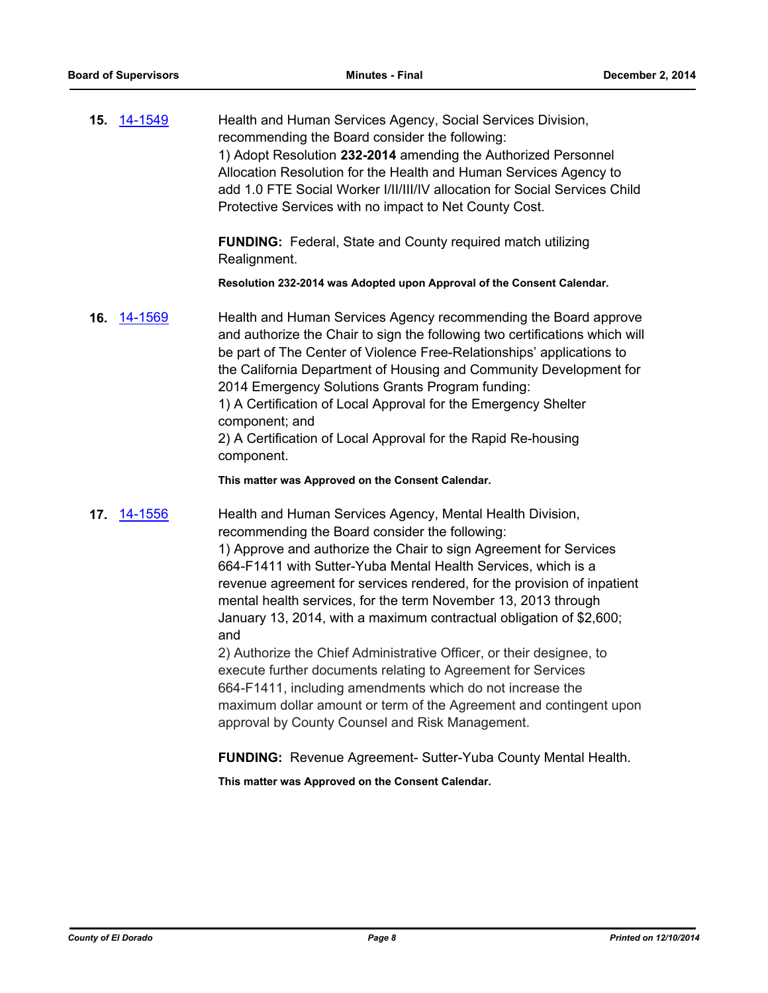| 15. 14-1549 | Health and Human Services Agency, Social Services Division,<br>recommending the Board consider the following:<br>1) Adopt Resolution 232-2014 amending the Authorized Personnel<br>Allocation Resolution for the Health and Human Services Agency to<br>add 1.0 FTE Social Worker I/II/III/IV allocation for Social Services Child<br>Protective Services with no impact to Net County Cost.                                                                                                                         |
|-------------|----------------------------------------------------------------------------------------------------------------------------------------------------------------------------------------------------------------------------------------------------------------------------------------------------------------------------------------------------------------------------------------------------------------------------------------------------------------------------------------------------------------------|
|             | <b>FUNDING:</b> Federal, State and County required match utilizing<br>Realignment.                                                                                                                                                                                                                                                                                                                                                                                                                                   |
|             | Resolution 232-2014 was Adopted upon Approval of the Consent Calendar.                                                                                                                                                                                                                                                                                                                                                                                                                                               |
| 16. 14-1569 | Health and Human Services Agency recommending the Board approve<br>and authorize the Chair to sign the following two certifications which will<br>be part of The Center of Violence Free-Relationships' applications to<br>the California Department of Housing and Community Development for<br>2014 Emergency Solutions Grants Program funding:<br>1) A Certification of Local Approval for the Emergency Shelter<br>component; and<br>2) A Certification of Local Approval for the Rapid Re-housing<br>component. |
|             | This matter was Approved on the Consent Calendar.                                                                                                                                                                                                                                                                                                                                                                                                                                                                    |

**17.** [14-1556](http://eldorado.legistar.com/gateway.aspx?m=l&id=/matter.aspx?key=19043) Health and Human Services Agency, Mental Health Division, recommending the Board consider the following: 1) Approve and authorize the Chair to sign Agreement for Services 664-F1411 with Sutter-Yuba Mental Health Services, which is a revenue agreement for services rendered, for the provision of inpatient mental health services, for the term November 13, 2013 through January 13, 2014, with a maximum contractual obligation of \$2,600; and

> 2) Authorize the Chief Administrative Officer, or their designee, to execute further documents relating to Agreement for Services 664-F1411, including amendments which do not increase the maximum dollar amount or term of the Agreement and contingent upon approval by County Counsel and Risk Management.

**FUNDING:** Revenue Agreement- Sutter-Yuba County Mental Health.

**This matter was Approved on the Consent Calendar.**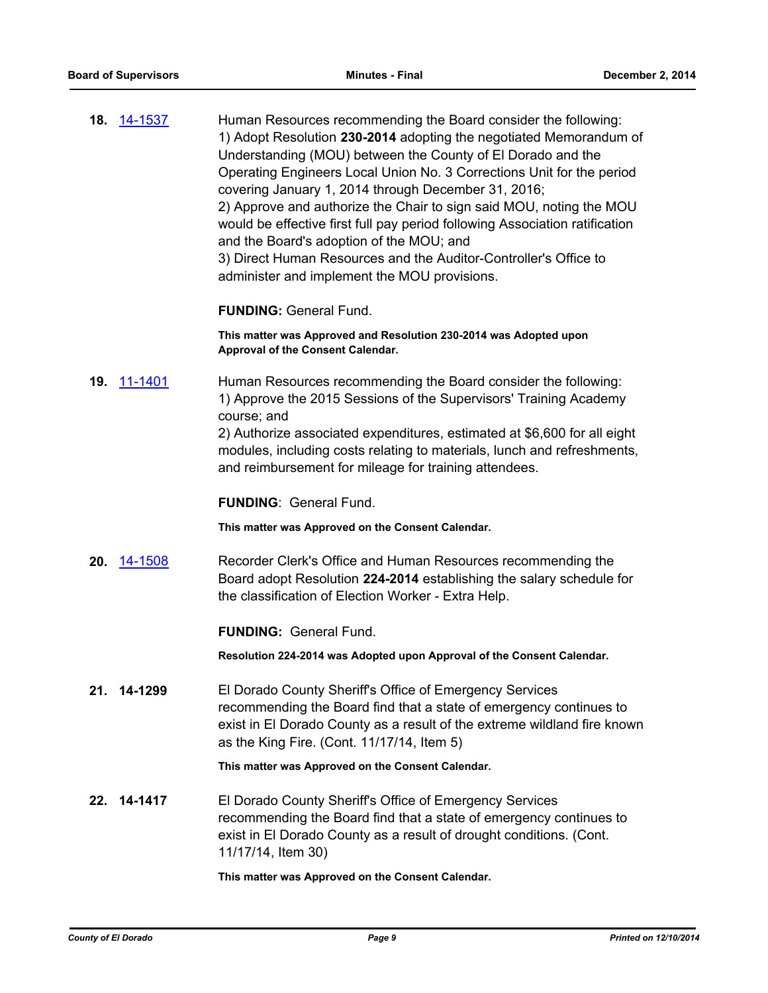| 18. 14-1537 | Human Resources recommending the Board consider the following:              |
|-------------|-----------------------------------------------------------------------------|
|             | 1) Adopt Resolution 230-2014 adopting the negotiated Memorandum of          |
|             | Understanding (MOU) between the County of El Dorado and the                 |
|             | Operating Engineers Local Union No. 3 Corrections Unit for the period       |
|             | covering January 1, 2014 through December 31, 2016;                         |
|             | 2) Approve and authorize the Chair to sign said MOU, noting the MOU         |
|             | would be effective first full pay period following Association ratification |
|             | and the Board's adoption of the MOU; and                                    |
|             | 3) Direct Human Resources and the Auditor-Controller's Office to            |
|             | administer and implement the MOU provisions.                                |

**FUNDING:** General Fund.

**This matter was Approved and Resolution 230-2014 was Adopted upon Approval of the Consent Calendar.**

**19.** [11-1401](http://eldorado.legistar.com/gateway.aspx?m=l&id=/matter.aspx?key=14246) Human Resources recommending the Board consider the following: 1) Approve the 2015 Sessions of the Supervisors' Training Academy course; and

> 2) Authorize associated expenditures, estimated at \$6,600 for all eight modules, including costs relating to materials, lunch and refreshments, and reimbursement for mileage for training attendees.

**FUNDING**: General Fund.

**This matter was Approved on the Consent Calendar.**

**20.** [14-1508](http://eldorado.legistar.com/gateway.aspx?m=l&id=/matter.aspx?key=18992) Recorder Clerk's Office and Human Resources recommending the Board adopt Resolution **224-2014** establishing the salary schedule for the classification of Election Worker - Extra Help.

**FUNDING:** General Fund.

**Resolution 224-2014 was Adopted upon Approval of the Consent Calendar.**

**21. 14-1299** El Dorado County Sheriff's Office of Emergency Services recommending the Board find that a state of emergency continues to exist in El Dorado County as a result of the extreme wildland fire known as the King Fire. (Cont. 11/17/14, Item 5)

**This matter was Approved on the Consent Calendar.**

**22. 14-1417** El Dorado County Sheriff's Office of Emergency Services recommending the Board find that a state of emergency continues to exist in El Dorado County as a result of drought conditions. (Cont. 11/17/14, Item 30)

**This matter was Approved on the Consent Calendar.**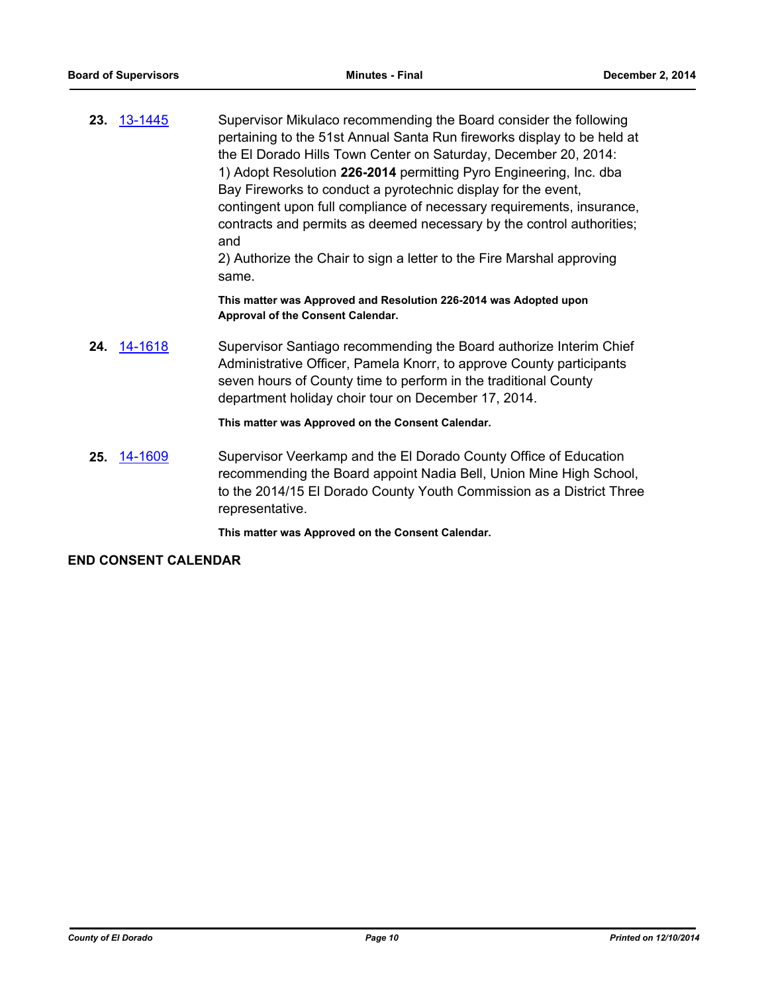**23.** [13-1445](http://eldorado.legistar.com/gateway.aspx?m=l&id=/matter.aspx?key=17343) Supervisor Mikulaco recommending the Board consider the following pertaining to the 51st Annual Santa Run fireworks display to be held at the El Dorado Hills Town Center on Saturday, December 20, 2014: 1) Adopt Resolution **226-2014** permitting Pyro Engineering, Inc. dba Bay Fireworks to conduct a pyrotechnic display for the event, contingent upon full compliance of necessary requirements, insurance, contracts and permits as deemed necessary by the control authorities; and 2) Authorize the Chair to sign a letter to the Fire Marshal approving same.

> **This matter was Approved and Resolution 226-2014 was Adopted upon Approval of the Consent Calendar.**

**24.** [14-1618](http://eldorado.legistar.com/gateway.aspx?m=l&id=/matter.aspx?key=19106) Supervisor Santiago recommending the Board authorize Interim Chief Administrative Officer, Pamela Knorr, to approve County participants seven hours of County time to perform in the traditional County department holiday choir tour on December 17, 2014.

#### **This matter was Approved on the Consent Calendar.**

**25.** [14-1609](http://eldorado.legistar.com/gateway.aspx?m=l&id=/matter.aspx?key=19096) Supervisor Veerkamp and the El Dorado County Office of Education recommending the Board appoint Nadia Bell, Union Mine High School, to the 2014/15 El Dorado County Youth Commission as a District Three representative.

**This matter was Approved on the Consent Calendar.**

### **END CONSENT CALENDAR**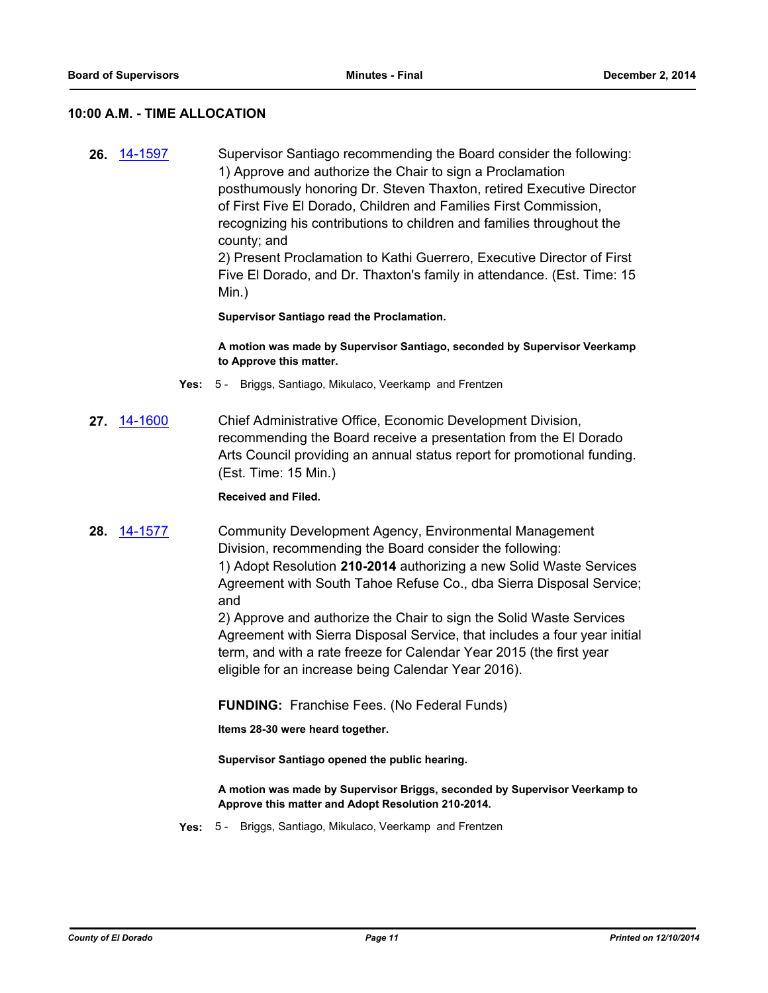#### **10:00 A.M. - TIME ALLOCATION**

**26.** [14-1597](http://eldorado.legistar.com/gateway.aspx?m=l&id=/matter.aspx?key=19084) Supervisor Santiago recommending the Board consider the following: 1) Approve and authorize the Chair to sign a Proclamation posthumously honoring Dr. Steven Thaxton, retired Executive Director of First Five El Dorado, Children and Families First Commission, recognizing his contributions to children and families throughout the county; and 2) Present Proclamation to Kathi Guerrero, Executive Director of First Five El Dorado, and Dr. Thaxton's family in attendance. (Est. Time: 15 Min.)

**Supervisor Santiago read the Proclamation.**

**A motion was made by Supervisor Santiago, seconded by Supervisor Veerkamp to Approve this matter.**

- **Yes:** 5 Briggs, Santiago, Mikulaco, Veerkamp and Frentzen
- **27.** [14-1600](http://eldorado.legistar.com/gateway.aspx?m=l&id=/matter.aspx?key=19087) Chief Administrative Office, Economic Development Division, recommending the Board receive a presentation from the El Dorado Arts Council providing an annual status report for promotional funding. (Est. Time: 15 Min.)

**Received and Filed.**

**28.** [14-1577](http://eldorado.legistar.com/gateway.aspx?m=l&id=/matter.aspx?key=19064) Community Development Agency, Environmental Management Division, recommending the Board consider the following: 1) Adopt Resolution **210-2014** authorizing a new Solid Waste Services Agreement with South Tahoe Refuse Co., dba Sierra Disposal Service; and

> 2) Approve and authorize the Chair to sign the Solid Waste Services Agreement with Sierra Disposal Service, that includes a four year initial term, and with a rate freeze for Calendar Year 2015 (the first year eligible for an increase being Calendar Year 2016).

**FUNDING:** Franchise Fees. (No Federal Funds)

**Items 28-30 were heard together.**

**Supervisor Santiago opened the public hearing.**

**A motion was made by Supervisor Briggs, seconded by Supervisor Veerkamp to Approve this matter and Adopt Resolution 210-2014.**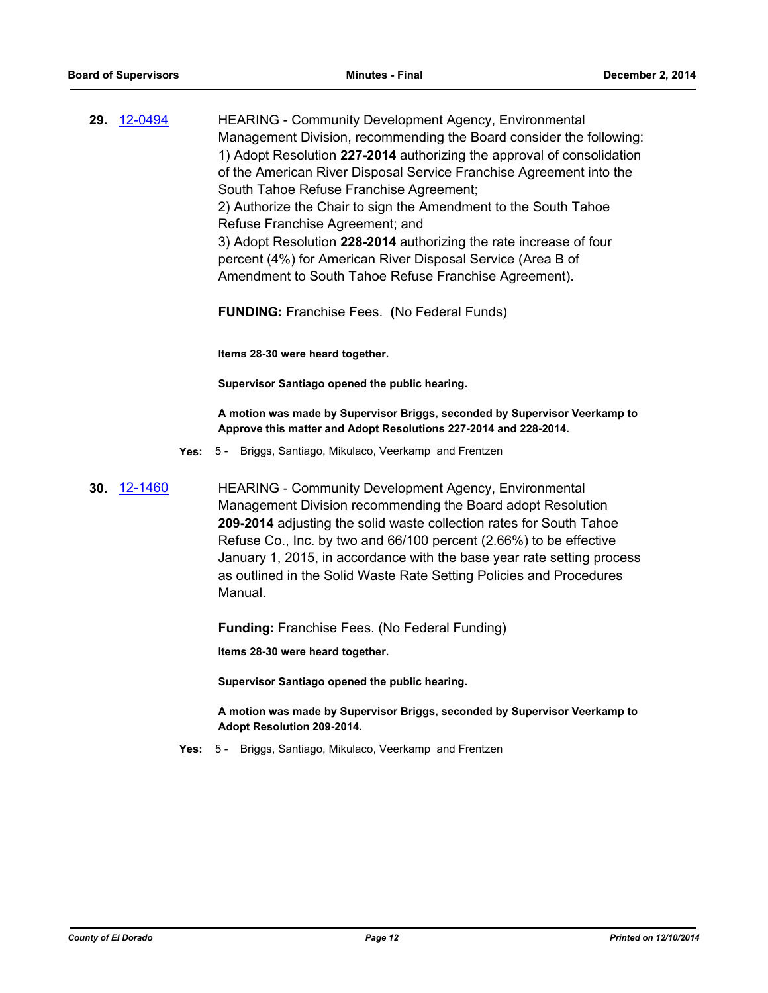| 29. | 12-0494 | <b>HEARING - Community Development Agency, Environmental</b>           |
|-----|---------|------------------------------------------------------------------------|
|     |         | Management Division, recommending the Board consider the following:    |
|     |         | 1) Adopt Resolution 227-2014 authorizing the approval of consolidation |
|     |         | of the American River Disposal Service Franchise Agreement into the    |
|     |         | South Tahoe Refuse Franchise Agreement;                                |
|     |         | 2) Authorize the Chair to sign the Amendment to the South Tahoe        |
|     |         | Refuse Franchise Agreement; and                                        |
|     |         | 3) Adopt Resolution 228-2014 authorizing the rate increase of four     |
|     |         | percent (4%) for American River Disposal Service (Area B of            |
|     |         | Amendment to South Tahoe Refuse Franchise Agreement).                  |
|     |         |                                                                        |

**FUNDING:** Franchise Fees. **(**No Federal Funds)

**Items 28-30 were heard together.**

**Supervisor Santiago opened the public hearing.**

**A motion was made by Supervisor Briggs, seconded by Supervisor Veerkamp to Approve this matter and Adopt Resolutions 227-2014 and 228-2014.**

- **Yes:** 5 Briggs, Santiago, Mikulaco, Veerkamp and Frentzen
- **30.** [12-1460](http://eldorado.legistar.com/gateway.aspx?m=l&id=/matter.aspx?key=15764) HEARING Community Development Agency, Environmental Management Division recommending the Board adopt Resolution **209-2014** adjusting the solid waste collection rates for South Tahoe Refuse Co., Inc. by two and 66/100 percent (2.66%) to be effective January 1, 2015, in accordance with the base year rate setting process as outlined in the Solid Waste Rate Setting Policies and Procedures Manual.

**Funding:** Franchise Fees. (No Federal Funding)

**Items 28-30 were heard together.**

**Supervisor Santiago opened the public hearing.**

**A motion was made by Supervisor Briggs, seconded by Supervisor Veerkamp to Adopt Resolution 209-2014.**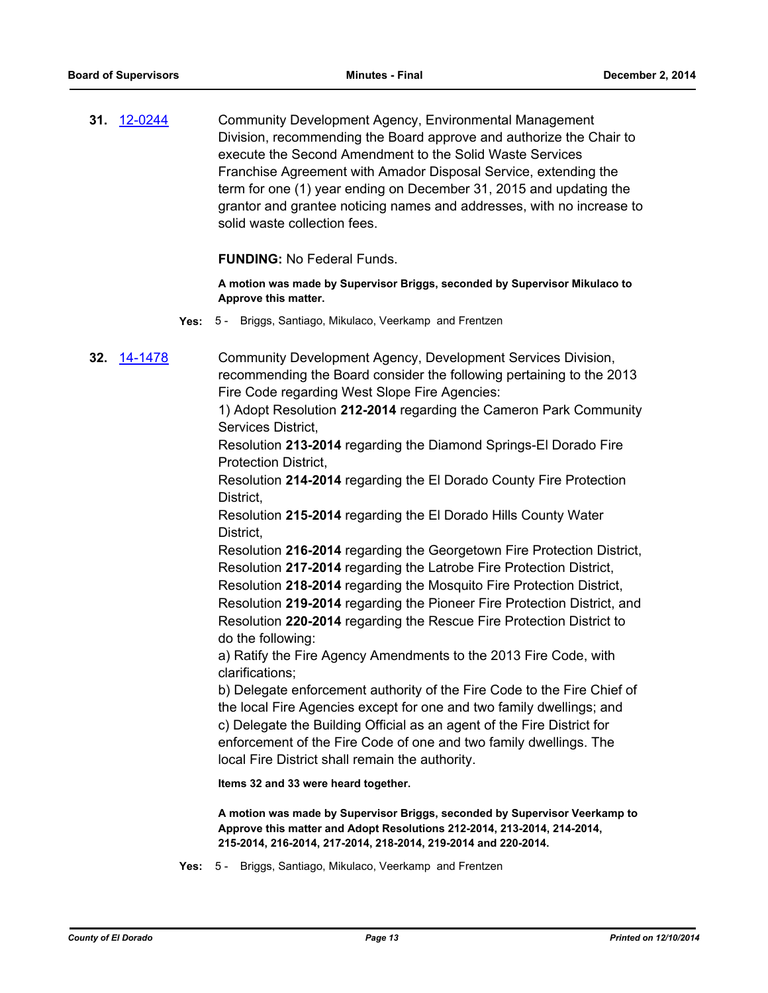**31.** [12-0244](http://eldorado.legistar.com/gateway.aspx?m=l&id=/matter.aspx?key=14530) Community Development Agency, Environmental Management Division, recommending the Board approve and authorize the Chair to execute the Second Amendment to the Solid Waste Services Franchise Agreement with Amador Disposal Service, extending the term for one (1) year ending on December 31, 2015 and updating the grantor and grantee noticing names and addresses, with no increase to solid waste collection fees.

**FUNDING:** No Federal Funds.

**A motion was made by Supervisor Briggs, seconded by Supervisor Mikulaco to Approve this matter.**

**Yes:** 5 - Briggs, Santiago, Mikulaco, Veerkamp and Frentzen

**32.** [14-1478](http://eldorado.legistar.com/gateway.aspx?m=l&id=/matter.aspx?key=18962) Community Development Agency, Development Services Division, recommending the Board consider the following pertaining to the 2013 Fire Code regarding West Slope Fire Agencies:

> 1) Adopt Resolution **212-2014** regarding the Cameron Park Community Services District,

Resolution **213-2014** regarding the Diamond Springs-El Dorado Fire Protection District,

Resolution **214-2014** regarding the El Dorado County Fire Protection District,

Resolution **215-2014** regarding the El Dorado Hills County Water District,

Resolution **216-2014** regarding the Georgetown Fire Protection District, Resolution **217-2014** regarding the Latrobe Fire Protection District, Resolution **218-2014** regarding the Mosquito Fire Protection District, Resolution **219-2014** regarding the Pioneer Fire Protection District, and Resolution **220-2014** regarding the Rescue Fire Protection District to do the following:

a) Ratify the Fire Agency Amendments to the 2013 Fire Code, with clarifications;

b) Delegate enforcement authority of the Fire Code to the Fire Chief of the local Fire Agencies except for one and two family dwellings; and c) Delegate the Building Official as an agent of the Fire District for enforcement of the Fire Code of one and two family dwellings. The local Fire District shall remain the authority.

**Items 32 and 33 were heard together.**

**A motion was made by Supervisor Briggs, seconded by Supervisor Veerkamp to Approve this matter and Adopt Resolutions 212-2014, 213-2014, 214-2014, 215-2014, 216-2014, 217-2014, 218-2014, 219-2014 and 220-2014.**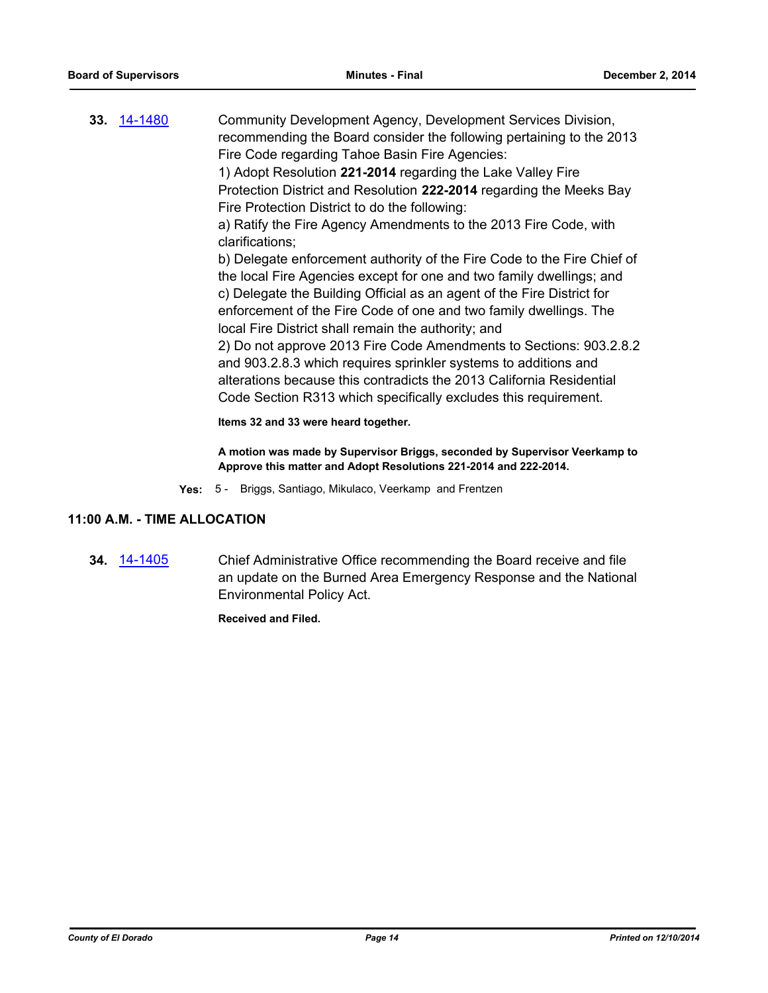**33.** [14-1480](http://eldorado.legistar.com/gateway.aspx?m=l&id=/matter.aspx?key=18964) Community Development Agency, Development Services Division, recommending the Board consider the following pertaining to the 2013 Fire Code regarding Tahoe Basin Fire Agencies: 1) Adopt Resolution **221-2014** regarding the Lake Valley Fire Protection District and Resolution **222-2014** regarding the Meeks Bay Fire Protection District to do the following: a) Ratify the Fire Agency Amendments to the 2013 Fire Code, with clarifications; b) Delegate enforcement authority of the Fire Code to the Fire Chief of the local Fire Agencies except for one and two family dwellings; and c) Delegate the Building Official as an agent of the Fire District for enforcement of the Fire Code of one and two family dwellings. The local Fire District shall remain the authority; and 2) Do not approve 2013 Fire Code Amendments to Sections: 903.2.8.2 and 903.2.8.3 which requires sprinkler systems to additions and alterations because this contradicts the 2013 California Residential Code Section R313 which specifically excludes this requirement. **Items 32 and 33 were heard together.**

> **A motion was made by Supervisor Briggs, seconded by Supervisor Veerkamp to Approve this matter and Adopt Resolutions 221-2014 and 222-2014.**

**Yes:** 5 - Briggs, Santiago, Mikulaco, Veerkamp and Frentzen

#### **11:00 A.M. - TIME ALLOCATION**

**34.** [14-1405](http://eldorado.legistar.com/gateway.aspx?m=l&id=/matter.aspx?key=18889) Chief Administrative Office recommending the Board receive and file an update on the Burned Area Emergency Response and the National Environmental Policy Act.

**Received and Filed.**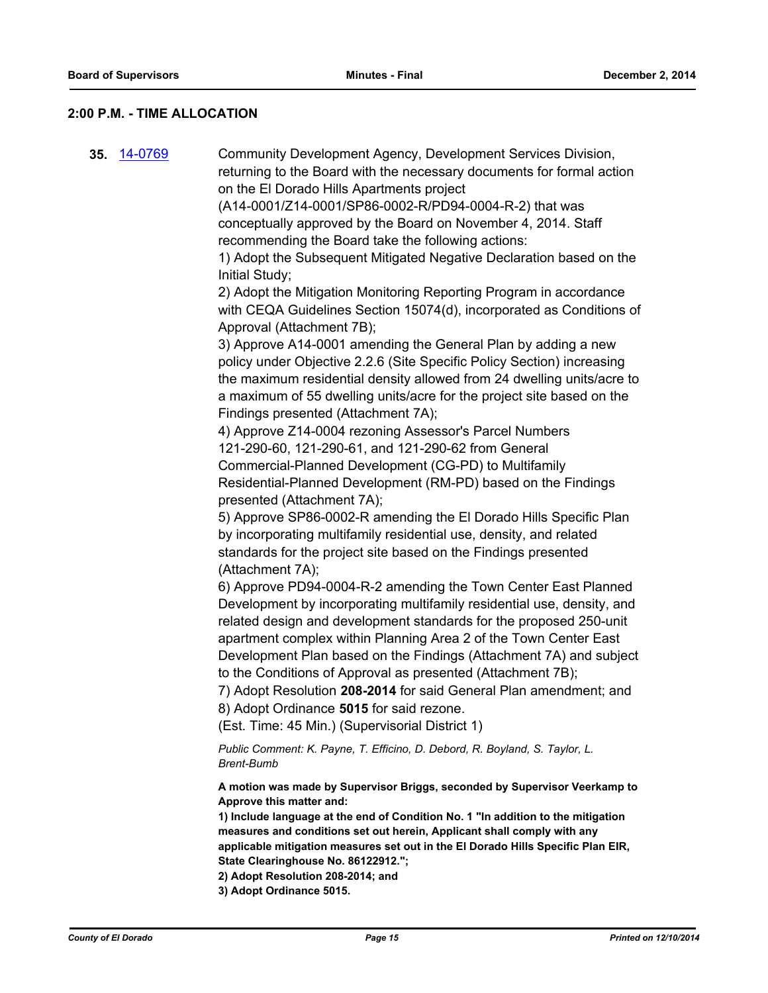#### **2:00 P.M. - TIME ALLOCATION**

**35.** [14-0769](http://eldorado.legistar.com/gateway.aspx?m=l&id=/matter.aspx?key=18252) Community Development Agency, Development Services Division, returning to the Board with the necessary documents for formal action on the El Dorado Hills Apartments project (A14-0001/Z14-0001/SP86-0002-R/PD94-0004-R-2) that was conceptually approved by the Board on November 4, 2014. Staff recommending the Board take the following actions: 1) Adopt the Subsequent Mitigated Negative Declaration based on the Initial Study; 2) Adopt the Mitigation Monitoring Reporting Program in accordance with CEQA Guidelines Section 15074(d), incorporated as Conditions of Approval (Attachment 7B); 3) Approve A14-0001 amending the General Plan by adding a new policy under Objective 2.2.6 (Site Specific Policy Section) increasing the maximum residential density allowed from 24 dwelling units/acre to a maximum of 55 dwelling units/acre for the project site based on the Findings presented (Attachment 7A); 4) Approve Z14-0004 rezoning Assessor's Parcel Numbers 121-290-60, 121-290-61, and 121-290-62 from General Commercial-Planned Development (CG-PD) to Multifamily Residential-Planned Development (RM-PD) based on the Findings presented (Attachment 7A); 5) Approve SP86-0002-R amending the El Dorado Hills Specific Plan by incorporating multifamily residential use, density, and related standards for the project site based on the Findings presented (Attachment 7A); 6) Approve PD94-0004-R-2 amending the Town Center East Planned Development by incorporating multifamily residential use, density, and related design and development standards for the proposed 250-unit apartment complex within Planning Area 2 of the Town Center East Development Plan based on the Findings (Attachment 7A) and subject to the Conditions of Approval as presented (Attachment 7B); 7) Adopt Resolution **208-2014** for said General Plan amendment; and 8) Adopt Ordinance **5015** for said rezone. (Est. Time: 45 Min.) (Supervisorial District 1) *Public Comment: K. Payne, T. Efficino, D. Debord, R. Boyland, S. Taylor, L. Brent-Bumb* **A motion was made by Supervisor Briggs, seconded by Supervisor Veerkamp to Approve this matter and: 1) Include language at the end of Condition No. 1 "In addition to the mitigation measures and conditions set out herein, Applicant shall comply with any applicable mitigation measures set out in the El Dorado Hills Specific Plan EIR, State Clearinghouse No. 86122912."; 2) Adopt Resolution 208-2014; and 3) Adopt Ordinance 5015.**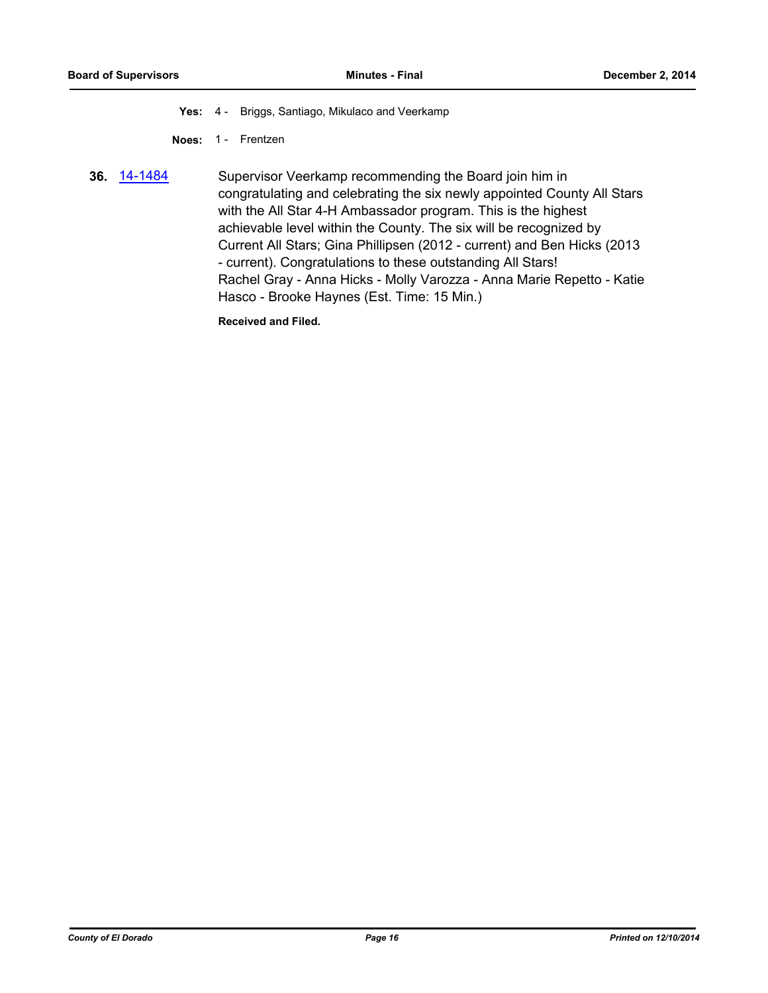**Yes:** 4 - Briggs, Santiago, Mikulaco and Veerkamp

**Noes:** 1 - Frentzen

**36.** [14-1484](http://eldorado.legistar.com/gateway.aspx?m=l&id=/matter.aspx?key=18968) Supervisor Veerkamp recommending the Board join him in congratulating and celebrating the six newly appointed County All Stars with the All Star 4-H Ambassador program. This is the highest achievable level within the County. The six will be recognized by Current All Stars; Gina Phillipsen (2012 - current) and Ben Hicks (2013 - current). Congratulations to these outstanding All Stars! Rachel Gray - Anna Hicks - Molly Varozza - Anna Marie Repetto - Katie Hasco - Brooke Haynes (Est. Time: 15 Min.)

**Received and Filed.**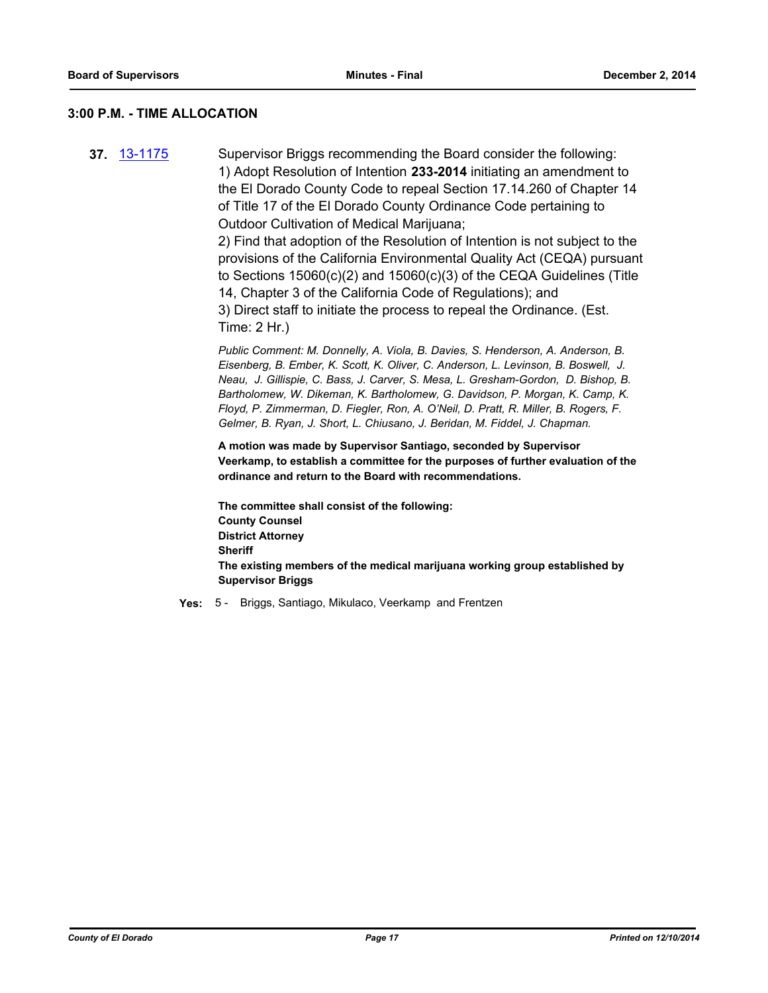#### **3:00 P.M. - TIME ALLOCATION**

**37.** [13-1175](http://eldorado.legistar.com/gateway.aspx?m=l&id=/matter.aspx?key=17071) Supervisor Briggs recommending the Board consider the following: 1) Adopt Resolution of Intention **233-2014** initiating an amendment to the El Dorado County Code to repeal Section 17.14.260 of Chapter 14 of Title 17 of the El Dorado County Ordinance Code pertaining to Outdoor Cultivation of Medical Marijuana;

2) Find that adoption of the Resolution of Intention is not subject to the provisions of the California Environmental Quality Act (CEQA) pursuant to Sections 15060(c)(2) and 15060(c)(3) of the CEQA Guidelines (Title 14, Chapter 3 of the California Code of Regulations); and 3) Direct staff to initiate the process to repeal the Ordinance. (Est. Time: 2 Hr.)

*Public Comment: M. Donnelly, A. Viola, B. Davies, S. Henderson, A. Anderson, B. Eisenberg, B. Ember, K. Scott, K. Oliver, C. Anderson, L. Levinson, B. Boswell, J. Neau, J. Gillispie, C. Bass, J. Carver, S. Mesa, L. Gresham-Gordon, D. Bishop, B. Bartholomew, W. Dikeman, K. Bartholomew, G. Davidson, P. Morgan, K. Camp, K. Floyd, P. Zimmerman, D. Fiegler, Ron, A. O'Neil, D. Pratt, R. Miller, B. Rogers, F. Gelmer, B. Ryan, J. Short, L. Chiusano, J. Beridan, M. Fiddel, J. Chapman.*

**A motion was made by Supervisor Santiago, seconded by Supervisor Veerkamp, to establish a committee for the purposes of further evaluation of the ordinance and return to the Board with recommendations.** 

**The committee shall consist of the following: County Counsel District Attorney Sheriff The existing members of the medical marijuana working group established by Supervisor Briggs**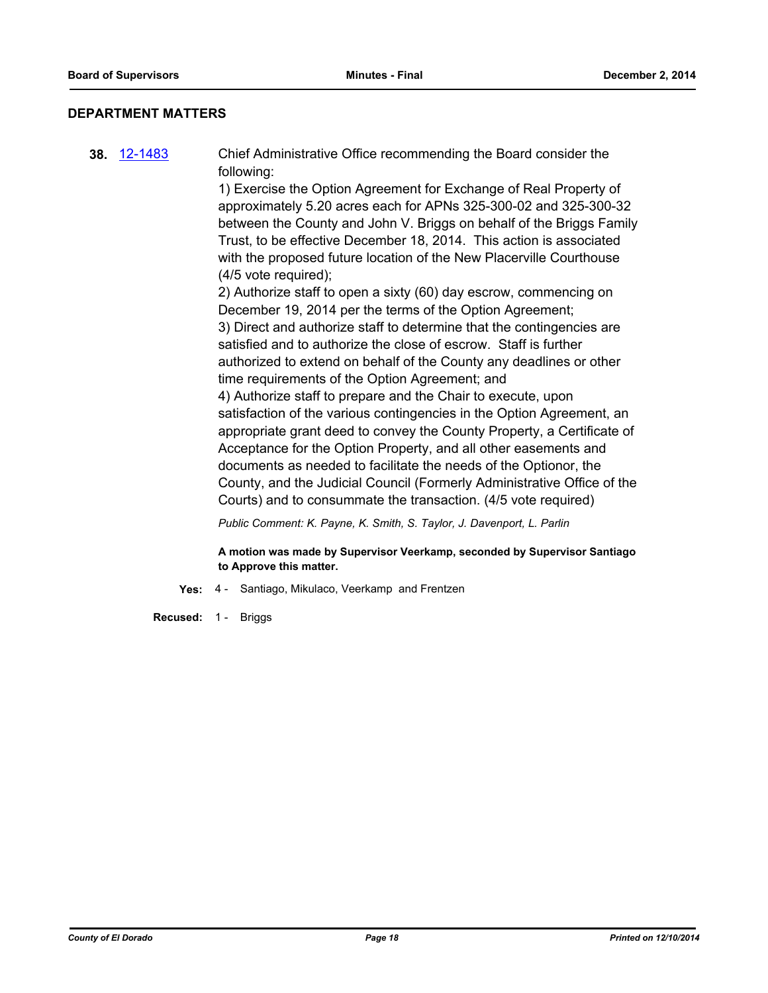#### **DEPARTMENT MATTERS**

**38.** [12-1483](http://eldorado.legistar.com/gateway.aspx?m=l&id=/matter.aspx?key=15787) Chief Administrative Office recommending the Board consider the following: 1) Exercise the Option Agreement for Exchange of Real Property of approximately 5.20 acres each for APNs 325-300-02 and 325-300-32 between the County and John V. Briggs on behalf of the Briggs Family Trust, to be effective December 18, 2014. This action is associated with the proposed future location of the New Placerville Courthouse (4/5 vote required); 2) Authorize staff to open a sixty (60) day escrow, commencing on December 19, 2014 per the terms of the Option Agreement; 3) Direct and authorize staff to determine that the contingencies are satisfied and to authorize the close of escrow. Staff is further authorized to extend on behalf of the County any deadlines or other time requirements of the Option Agreement; and 4) Authorize staff to prepare and the Chair to execute, upon satisfaction of the various contingencies in the Option Agreement, an appropriate grant deed to convey the County Property, a Certificate of Acceptance for the Option Property, and all other easements and documents as needed to facilitate the needs of the Optionor, the County, and the Judicial Council (Formerly Administrative Office of the Courts) and to consummate the transaction. (4/5 vote required)

*Public Comment: K. Payne, K. Smith, S. Taylor, J. Davenport, L. Parlin*

**A motion was made by Supervisor Veerkamp, seconded by Supervisor Santiago to Approve this matter.**

**Yes:** 4 - Santiago, Mikulaco, Veerkamp and Frentzen

**Recused:** 1 - Briggs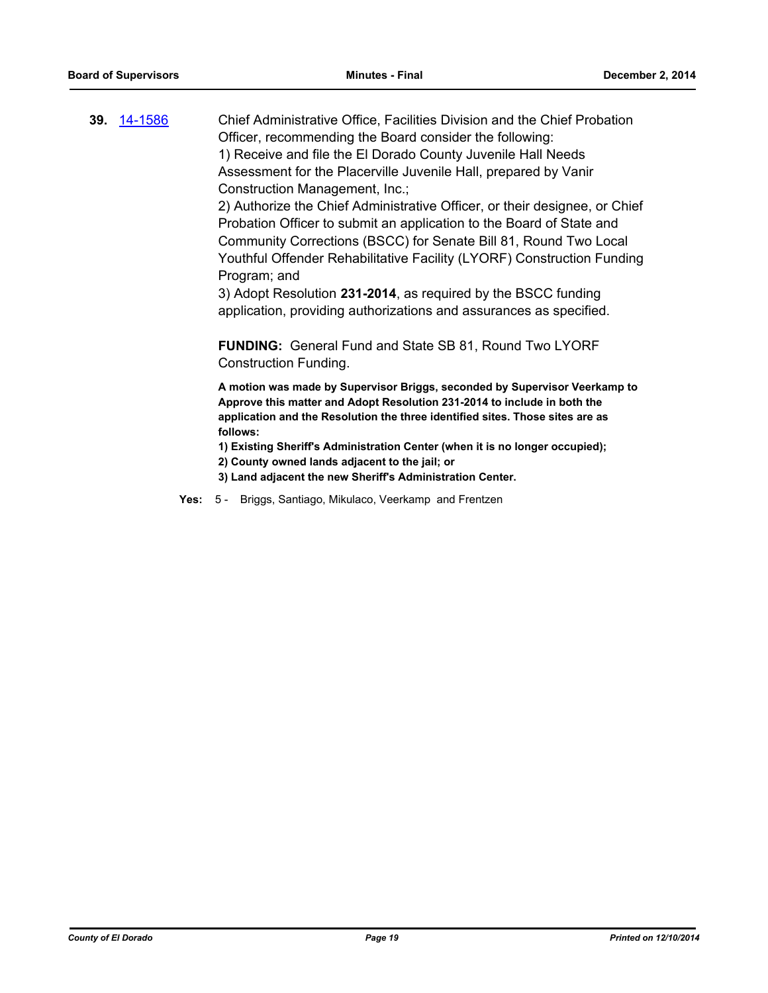**39.** [14-1586](http://eldorado.legistar.com/gateway.aspx?m=l&id=/matter.aspx?key=19073) Chief Administrative Office, Facilities Division and the Chief Probation Officer, recommending the Board consider the following: 1) Receive and file the El Dorado County Juvenile Hall Needs Assessment for the Placerville Juvenile Hall, prepared by Vanir Construction Management, Inc.;

2) Authorize the Chief Administrative Officer, or their designee, or Chief Probation Officer to submit an application to the Board of State and Community Corrections (BSCC) for Senate Bill 81, Round Two Local Youthful Offender Rehabilitative Facility (LYORF) Construction Funding Program; and

3) Adopt Resolution **231-2014**, as required by the BSCC funding application, providing authorizations and assurances as specified.

**FUNDING:** General Fund and State SB 81, Round Two LYORF Construction Funding.

**A motion was made by Supervisor Briggs, seconded by Supervisor Veerkamp to Approve this matter and Adopt Resolution 231-2014 to include in both the application and the Resolution the three identified sites. Those sites are as follows:**

**1) Existing Sheriff's Administration Center (when it is no longer occupied);**

- **2) County owned lands adjacent to the jail; or**
- **3) Land adjacent the new Sheriff's Administration Center.**
- **Yes:** 5 Briggs, Santiago, Mikulaco, Veerkamp and Frentzen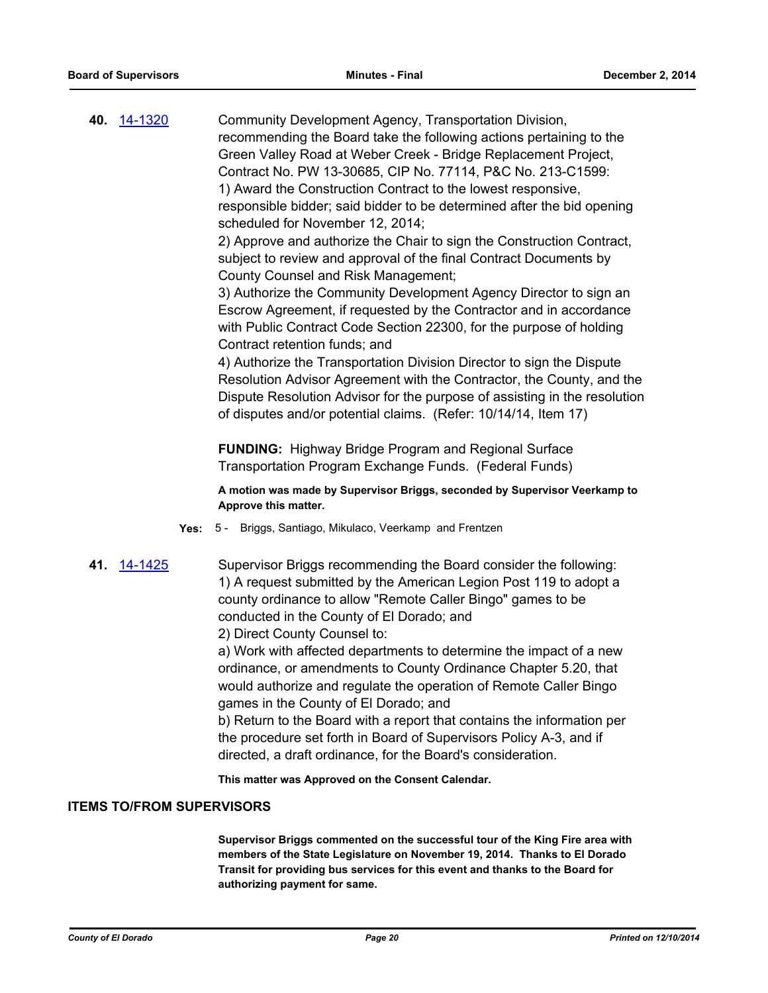| 40. 14-1320                      | Community Development Agency, Transportation Division,<br>recommending the Board take the following actions pertaining to the<br>Green Valley Road at Weber Creek - Bridge Replacement Project,<br>Contract No. PW 13-30685, CIP No. 77114, P&C No. 213-C1599:<br>1) Award the Construction Contract to the lowest responsive,<br>responsible bidder; said bidder to be determined after the bid opening<br>scheduled for November 12, 2014;<br>2) Approve and authorize the Chair to sign the Construction Contract,<br>subject to review and approval of the final Contract Documents by<br>County Counsel and Risk Management;<br>3) Authorize the Community Development Agency Director to sign an<br>Escrow Agreement, if requested by the Contractor and in accordance<br>with Public Contract Code Section 22300, for the purpose of holding<br>Contract retention funds; and<br>4) Authorize the Transportation Division Director to sign the Dispute<br>Resolution Advisor Agreement with the Contractor, the County, and the<br>Dispute Resolution Advisor for the purpose of assisting in the resolution |
|----------------------------------|---------------------------------------------------------------------------------------------------------------------------------------------------------------------------------------------------------------------------------------------------------------------------------------------------------------------------------------------------------------------------------------------------------------------------------------------------------------------------------------------------------------------------------------------------------------------------------------------------------------------------------------------------------------------------------------------------------------------------------------------------------------------------------------------------------------------------------------------------------------------------------------------------------------------------------------------------------------------------------------------------------------------------------------------------------------------------------------------------------------------|
|                                  | of disputes and/or potential claims. (Refer: 10/14/14, Item 17)                                                                                                                                                                                                                                                                                                                                                                                                                                                                                                                                                                                                                                                                                                                                                                                                                                                                                                                                                                                                                                                     |
|                                  | <b>FUNDING:</b> Highway Bridge Program and Regional Surface<br>Transportation Program Exchange Funds. (Federal Funds)                                                                                                                                                                                                                                                                                                                                                                                                                                                                                                                                                                                                                                                                                                                                                                                                                                                                                                                                                                                               |
|                                  | A motion was made by Supervisor Briggs, seconded by Supervisor Veerkamp to<br>Approve this matter.                                                                                                                                                                                                                                                                                                                                                                                                                                                                                                                                                                                                                                                                                                                                                                                                                                                                                                                                                                                                                  |
| Yes:                             | 5 - Briggs, Santiago, Mikulaco, Veerkamp and Frentzen                                                                                                                                                                                                                                                                                                                                                                                                                                                                                                                                                                                                                                                                                                                                                                                                                                                                                                                                                                                                                                                               |
| 41. 14-1425                      | Supervisor Briggs recommending the Board consider the following:<br>1) A request submitted by the American Legion Post 119 to adopt a<br>county ordinance to allow "Remote Caller Bingo" games to be<br>conducted in the County of El Dorado; and<br>2) Direct County Counsel to:<br>a) Work with affected departments to determine the impact of a new<br>ordinance, or amendments to County Ordinance Chapter 5.20, that<br>would authorize and regulate the operation of Remote Caller Bingo<br>games in the County of El Dorado; and<br>b) Return to the Board with a report that contains the information per<br>the procedure set forth in Board of Supervisors Policy A-3, and if                                                                                                                                                                                                                                                                                                                                                                                                                            |
|                                  | directed, a draft ordinance, for the Board's consideration.                                                                                                                                                                                                                                                                                                                                                                                                                                                                                                                                                                                                                                                                                                                                                                                                                                                                                                                                                                                                                                                         |
| <b>ITEMS TO/FROM SUPERVISORS</b> | This matter was Approved on the Consent Calendar.                                                                                                                                                                                                                                                                                                                                                                                                                                                                                                                                                                                                                                                                                                                                                                                                                                                                                                                                                                                                                                                                   |
|                                  |                                                                                                                                                                                                                                                                                                                                                                                                                                                                                                                                                                                                                                                                                                                                                                                                                                                                                                                                                                                                                                                                                                                     |
|                                  | Supervisor Briggs commented on the successful tour of the King Fire area with<br>members of the State Legislature on November 19, 2014. Thanks to El Dorado<br>Transit for providing bus services for this event and thanks to the Board for<br>authorizing payment for same.                                                                                                                                                                                                                                                                                                                                                                                                                                                                                                                                                                                                                                                                                                                                                                                                                                       |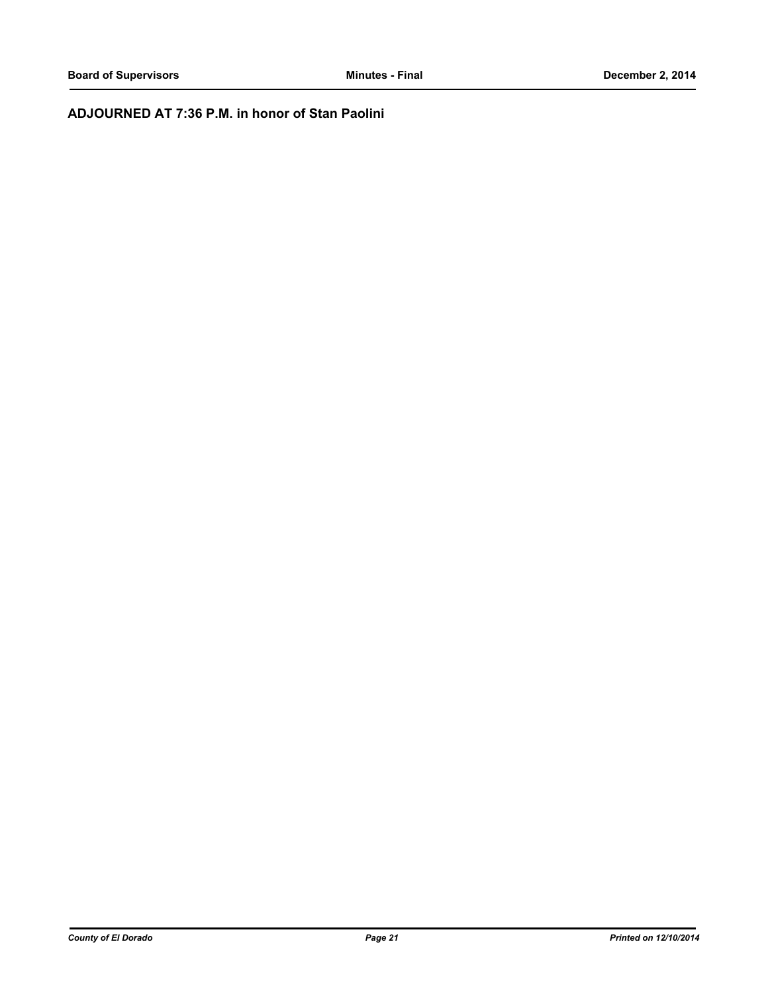## **ADJOURNED AT 7:36 P.M. in honor of Stan Paolini**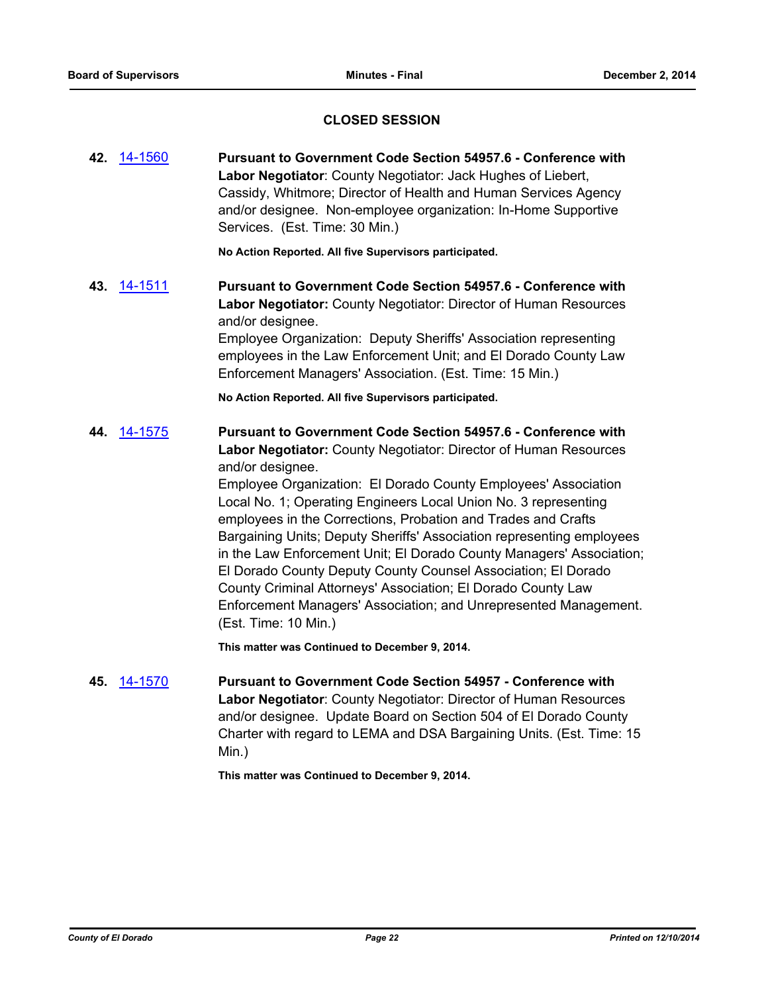## **CLOSED SESSION**

**42.** [14-1560](http://eldorado.legistar.com/gateway.aspx?m=l&id=/matter.aspx?key=19047) **Pursuant to Government Code Section 54957.6 - Conference with Labor Negotiator**: County Negotiator: Jack Hughes of Liebert, Cassidy, Whitmore; Director of Health and Human Services Agency and/or designee. Non-employee organization: In-Home Supportive Services. (Est. Time: 30 Min.)

**No Action Reported. All five Supervisors participated.**

**43.** [14-1511](http://eldorado.legistar.com/gateway.aspx?m=l&id=/matter.aspx?key=18997) **Pursuant to Government Code Section 54957.6 - Conference with Labor Negotiator:** County Negotiator: Director of Human Resources and/or designee.

Employee Organization: Deputy Sheriffs' Association representing employees in the Law Enforcement Unit; and El Dorado County Law Enforcement Managers' Association. (Est. Time: 15 Min.)

**No Action Reported. All five Supervisors participated.**

**44.** [14-1575](http://eldorado.legistar.com/gateway.aspx?m=l&id=/matter.aspx?key=19062) **Pursuant to Government Code Section 54957.6 - Conference with Labor Negotiator:** County Negotiator: Director of Human Resources and/or designee.

> Employee Organization: El Dorado County Employees' Association Local No. 1; Operating Engineers Local Union No. 3 representing employees in the Corrections, Probation and Trades and Crafts Bargaining Units; Deputy Sheriffs' Association representing employees in the Law Enforcement Unit; El Dorado County Managers' Association; El Dorado County Deputy County Counsel Association; El Dorado County Criminal Attorneys' Association; El Dorado County Law Enforcement Managers' Association; and Unrepresented Management. (Est. Time: 10 Min.)

**This matter was Continued to December 9, 2014.**

**45.** [14-1570](http://eldorado.legistar.com/gateway.aspx?m=l&id=/matter.aspx?key=19057) **Pursuant to Government Code Section 54957 - Conference with Labor Negotiator**: County Negotiator: Director of Human Resources and/or designee. Update Board on Section 504 of El Dorado County Charter with regard to LEMA and DSA Bargaining Units. (Est. Time: 15 Min.)

**This matter was Continued to December 9, 2014.**